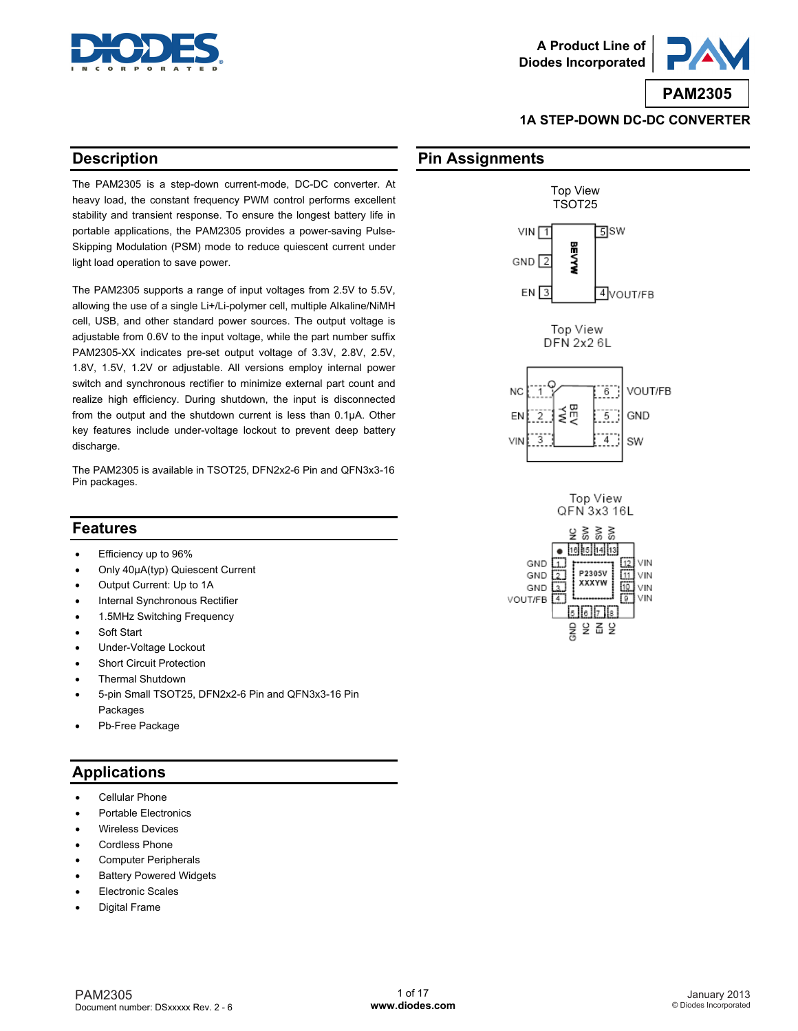



**PAM2305**

### **1A STEP-DOWN DC-DC CONVERTER**

### **Description**

The PAM2305 is a step-down current-mode, DC-DC converter. At heavy load, the constant frequency PWM control performs excellent stability and transient response. To ensure the longest battery life in portable applications, the PAM2305 provides a power-saving Pulse-Skipping Modulation (PSM) mode to reduce quiescent current under light load operation to save power.

The PAM2305 supports a range of input voltages from 2.5V to 5.5V, allowing the use of a single Li+/Li-polymer cell, multiple Alkaline/NiMH cell, USB, and other standard power sources. The output voltage is adjustable from 0.6V to the input voltage, while the part number suffix PAM2305-XX indicates pre-set output voltage of 3.3V, 2.8V, 2.5V, 1.8V, 1.5V, 1.2V or adjustable. All versions employ internal power switch and synchronous rectifier to minimize external part count and realize high efficiency. During shutdown, the input is disconnected from the output and the shutdown current is less than 0.1µA. Other key features include under-voltage lockout to prevent deep battery discharge.

The PAM2305 is available in TSOT25, DFN2x2-6 Pin and QFN3x3-16 Pin packages.

### **Features**

- Efficiency up to 96%
- Only 40µA(typ) Quiescent Current
- Output Current: Up to 1A
- Internal Synchronous Rectifier
- 1.5MHz Switching Frequency
- Soft Start
- Under-Voltage Lockout
- **Short Circuit Protection**
- Thermal Shutdown
- 5-pin Small TSOT25, DFN2x2-6 Pin and QFN3x3-16 Pin Packages
- Pb-Free Package

### **Applications**

- Cellular Phone
- Portable Electronics
- Wireless Devices
- Cordless Phone
- Computer Peripherals
- **Battery Powered Widgets**
- Electronic Scales
- Digital Frame

# **Pin Assignments**

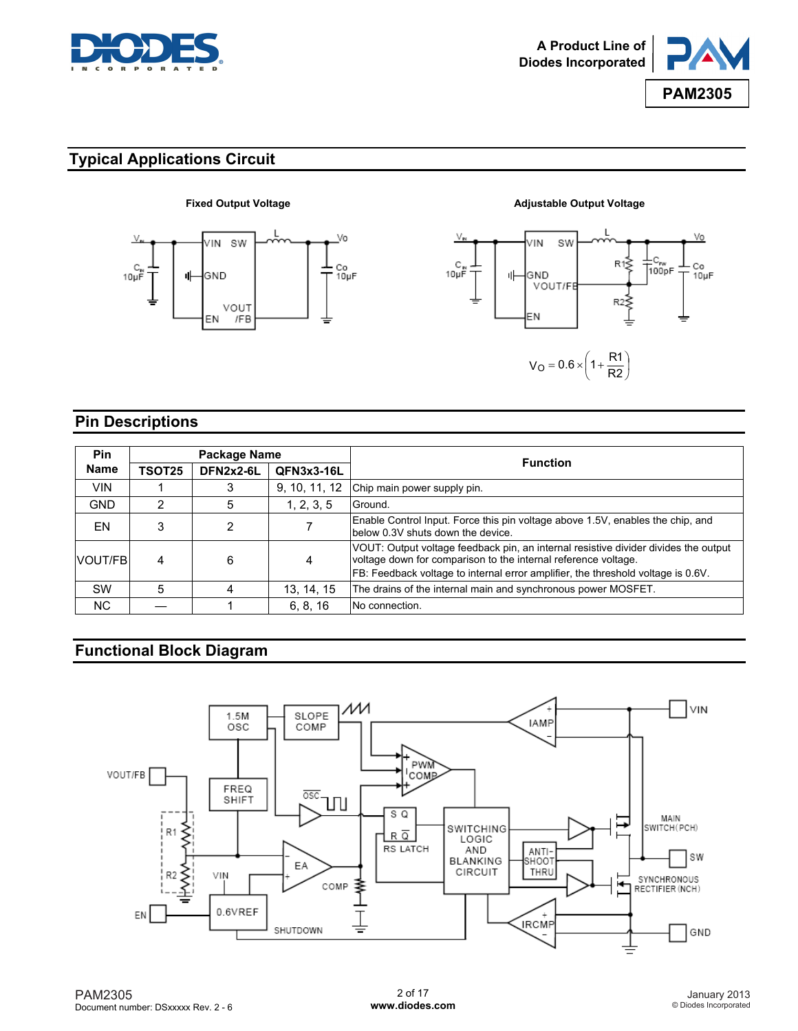



### **Typical Applications Circuit**



**Fixed Output Voltage 19th Contract Contract Adjustable Output Voltage 19th Contract Contract Adjustable Output Voltage** 



### **Pin Descriptions**

| Pin                                                                 | Package Name |   |               |                                                                                                                                                                                                                                           |
|---------------------------------------------------------------------|--------------|---|---------------|-------------------------------------------------------------------------------------------------------------------------------------------------------------------------------------------------------------------------------------------|
| <b>Function</b><br><b>Name</b><br>DFN2x2-6L<br>QFN3x3-16L<br>TSOT25 |              |   |               |                                                                                                                                                                                                                                           |
| VIN                                                                 |              |   | 9, 10, 11, 12 | Chip main power supply pin.                                                                                                                                                                                                               |
| <b>GND</b>                                                          | 2            | 5 | 1, 2, 3, 5    | Ground.                                                                                                                                                                                                                                   |
| EN                                                                  |              | າ |               | Enable Control Input. Force this pin voltage above 1.5V, enables the chip, and<br>below 0.3V shuts down the device.                                                                                                                       |
| <b>VOUT/FB</b>                                                      | 4            | 6 | 4             | VOUT: Output voltage feedback pin, an internal resistive divider divides the output<br>voltage down for comparison to the internal reference voltage.<br>FB: Feedback voltage to internal error amplifier, the threshold voltage is 0.6V. |
| <b>SW</b>                                                           | 5            | Δ | 13, 14, 15    | The drains of the internal main and synchronous power MOSFET.                                                                                                                                                                             |
| <b>NC</b>                                                           |              |   | 6, 8, 16      | No connection.                                                                                                                                                                                                                            |

### **Functional Block Diagram**

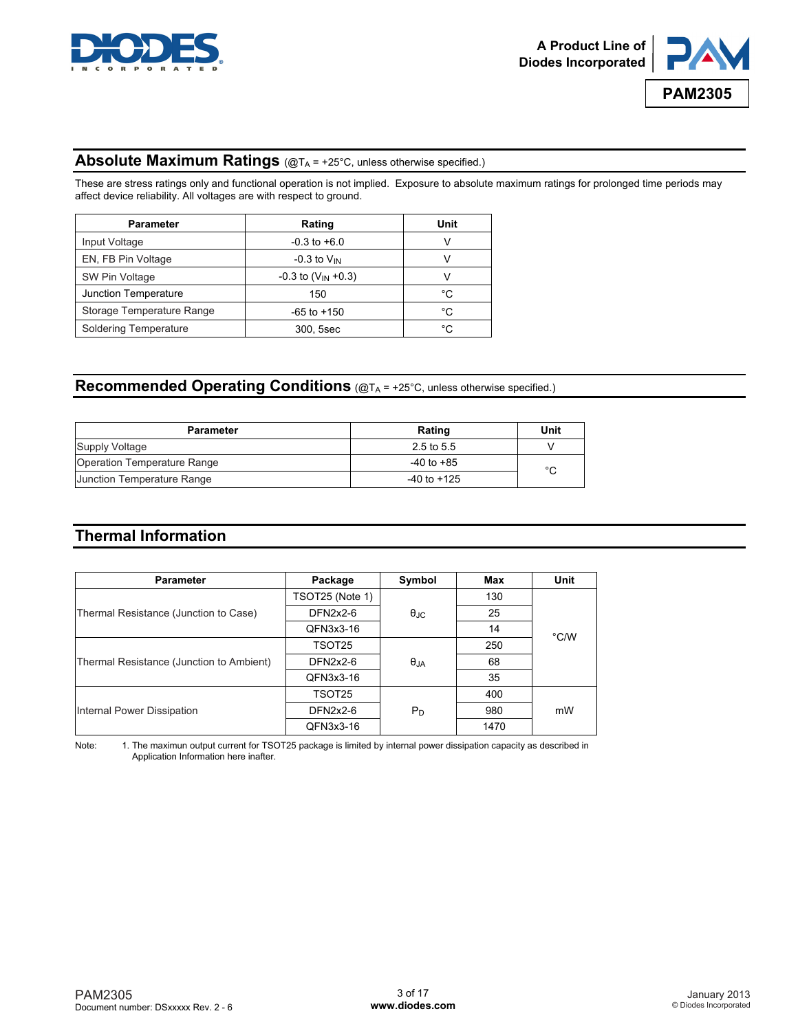



## **Absolute Maximum Ratings** (@TA = +25°C, unless otherwise specified.)

These are stress ratings only and functional operation is not implied. Exposure to absolute maximum ratings for prolonged time periods may affect device reliability. All voltages are with respect to ground.

| <b>Parameter</b>          | Rating                     | Unit |
|---------------------------|----------------------------|------|
| Input Voltage             | $-0.3$ to $+6.0$           |      |
| EN, FB Pin Voltage        | $-0.3$ to $V_{IN}$         |      |
| SW Pin Voltage            | $-0.3$ to $(V_{IN} + 0.3)$ |      |
| Junction Temperature      | 150                        | °C.  |
| Storage Temperature Range | $-65$ to $+150$            | °∩°  |
| Soldering Temperature     | 300. 5sec                  | °C   |

### **Recommended Operating Conditions** (@TA = +25°C, unless otherwise specified.)

| <b>Parameter</b>                   | Rating          | Unit   |
|------------------------------------|-----------------|--------|
| Supply Voltage                     | 2.5 to 5.5      |        |
| <b>Operation Temperature Range</b> | $-40$ to $+85$  | $\sim$ |
| Junction Temperature Range         | $-40$ to $+125$ |        |

### **Thermal Information**

| <b>Parameter</b>                         | Package         | Symbol            | Max  | Unit          |
|------------------------------------------|-----------------|-------------------|------|---------------|
|                                          | TSOT25 (Note 1) |                   | 130  |               |
| Thermal Resistance (Junction to Case)    | DFN2x2-6        | $\theta_{\rm JC}$ | 25   |               |
|                                          | QFN3x3-16       |                   | 14   | $\degree$ C/W |
|                                          | TSOT25          |                   | 250  |               |
| Thermal Resistance (Junction to Ambient) | $DFN2x2-6$      | $\theta$ JA       | 68   |               |
|                                          | QFN3x3-16       |                   | 35   |               |
|                                          | TSOT25          |                   | 400  |               |
| Internal Power Dissipation               | DFN2x2-6        | $P_D$             | 980  | mW            |
|                                          | QFN3x3-16       |                   | 1470 |               |

Note: 1. The maximun output current for TSOT25 package is limited by internal power dissipation capacity as described in Application Information here inafter.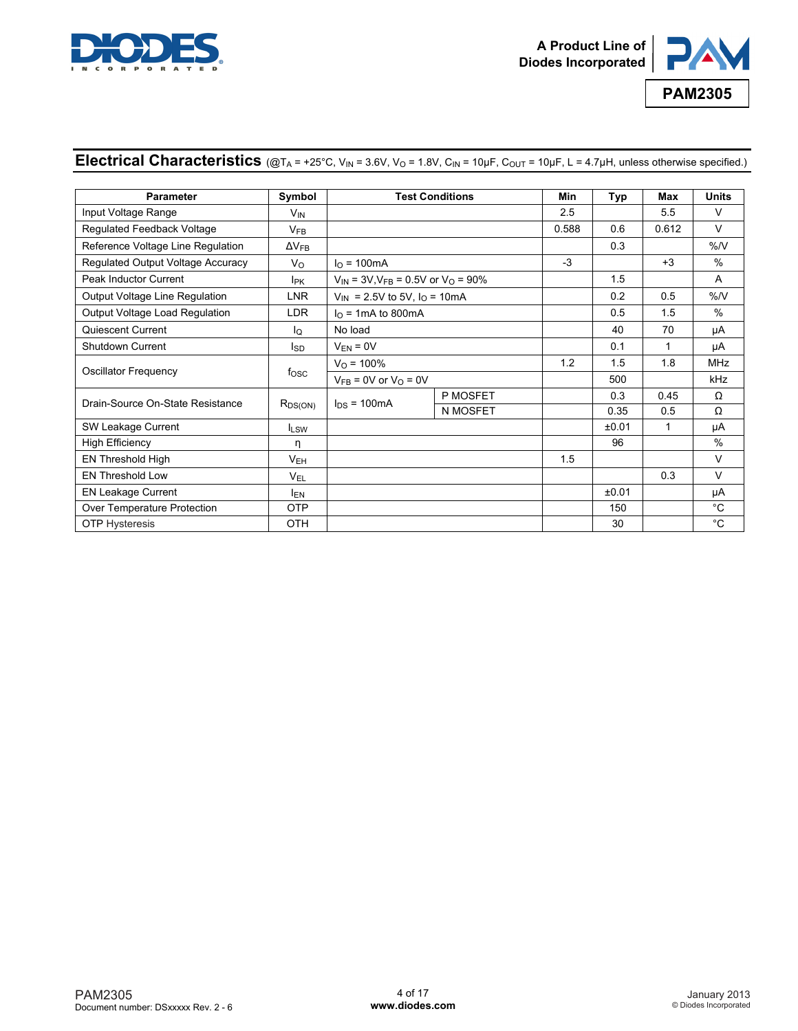



# Electrical Characteristics  $(\textcircled{a}T_A = +25^\circ \textcirc C, V_{IN} = 3.6 \text{V}, V_O = 1.8 \text{V}, C_{IN} = 10 \mu \text{F}, C_{OUT} = 10 \mu \text{F}, L = 4.7 \mu \text{H},$  unless otherwise specified.)

| <b>Parameter</b>                           | Symbol                 |                                                               | <b>Test Conditions</b> | Min   | Typ   | Max    | <b>Units</b>  |
|--------------------------------------------|------------------------|---------------------------------------------------------------|------------------------|-------|-------|--------|---------------|
| Input Voltage Range                        | <b>V<sub>IN</sub></b>  |                                                               |                        | 2.5   |       | 5.5    | V             |
| Regulated Feedback Voltage                 | $V_{FB}$               |                                                               |                        | 0.588 | 0.6   | 0.612  | $\vee$        |
| Reference Voltage Line Regulation          | $\Delta V_{FB}$        |                                                               |                        |       | 0.3   |        | %N            |
| Regulated Output Voltage Accuracy          | Vo                     | $IO$ = 100mA                                                  |                        | $-3$  |       | $+3$   | $\frac{0}{0}$ |
| Peak Inductor Current                      | <b>I</b> <sub>PK</sub> | $V_{IN}$ = 3V, V <sub>FB</sub> = 0.5V or V <sub>O</sub> = 90% |                        |       | 1.5   |        | A             |
| Output Voltage Line Regulation             | <b>LNR</b>             | $V_{\text{IN}}$ = 2.5V to 5V, $I_{\text{O}}$ = 10mA           |                        |       | 0.2   | 0.5    | %N            |
| Output Voltage Load Regulation             | <b>LDR</b>             | $IO$ = 1mA to 800mA                                           |                        |       | 0.5   | 1.5    | $\%$          |
| Quiescent Current                          | ΙQ                     | No load                                                       |                        |       | 40    | 70     | μA            |
| Shutdown Current                           | <sub>sD</sub>          | $V_{FN} = 0V$                                                 |                        |       | 0.1   | 1      | μA            |
| <b>Oscillator Frequency</b>                | f <sub>OSC</sub>       | $V_{\Omega}$ = 100%                                           |                        | 1.2   | 1.5   | 1.8    | MHz           |
|                                            |                        | $V_{FB} = 0V$ or $V_{O} = 0V$                                 |                        |       | 500   |        | kHz           |
| Drain-Source On-State Resistance           | $R_{DS(ON)}$           | $I_{DS}$ = 100 mA                                             | P MOSFET               |       | 0.3   | 0.45   | Ω             |
|                                            |                        |                                                               | N MOSFET               |       | 0.35  | 0.5    | Ω             |
| SW Leakage Current                         | $I_{LSW}$              |                                                               |                        |       | ±0.01 | 1      | μA            |
| <b>High Efficiency</b>                     | η                      |                                                               |                        |       | 96    |        | $\%$          |
| <b>EN Threshold High</b>                   | $V_{EH}$               |                                                               |                        | 1.5   |       |        | V             |
| <b>EN Threshold Low</b><br>V <sub>EL</sub> |                        |                                                               |                        |       | 0.3   | $\vee$ |               |
| <b>EN Leakage Current</b><br><b>IEN</b>    |                        |                                                               |                        | ±0.01 |       | μA     |               |
| Over Temperature Protection                | <b>OTP</b>             |                                                               |                        |       | 150   |        | $^{\circ}C$   |
| <b>OTP Hysteresis</b>                      | <b>OTH</b>             |                                                               |                        |       | 30    |        | $^{\circ}$ C  |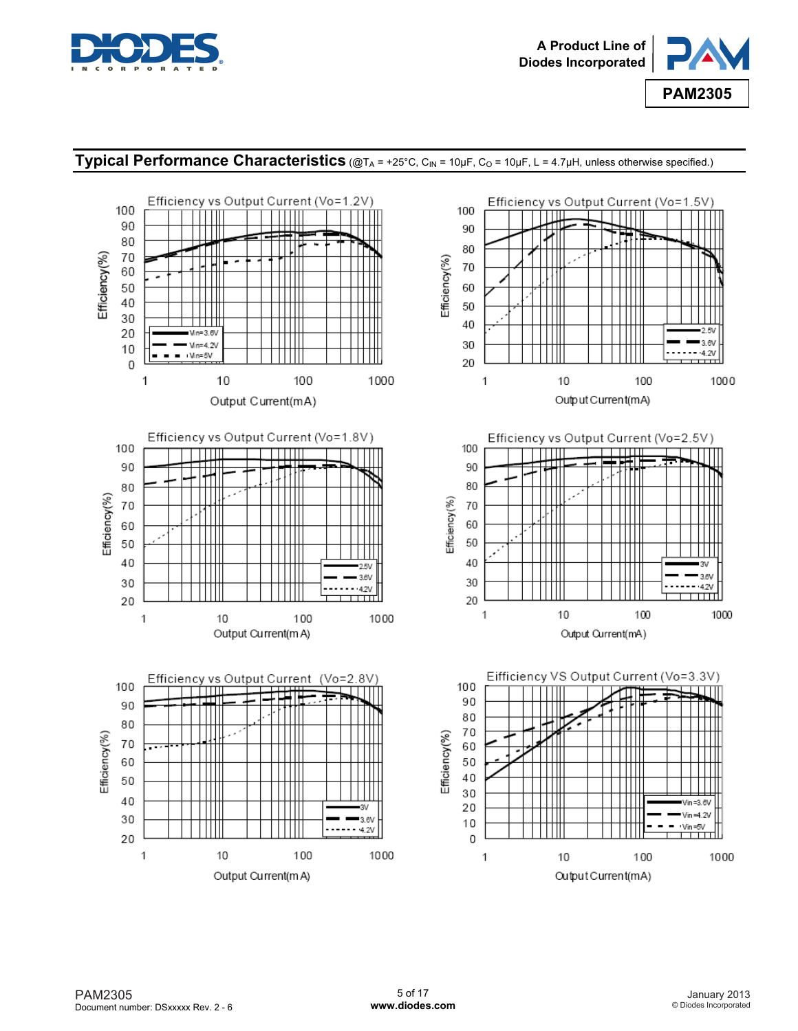



# **Typical Performance Characteristics** (@TA = +25°C, C<sub>IN</sub> = 10µF, C<sub>O</sub> = 10µF, L = 4.7µH, unless otherwise specified.)

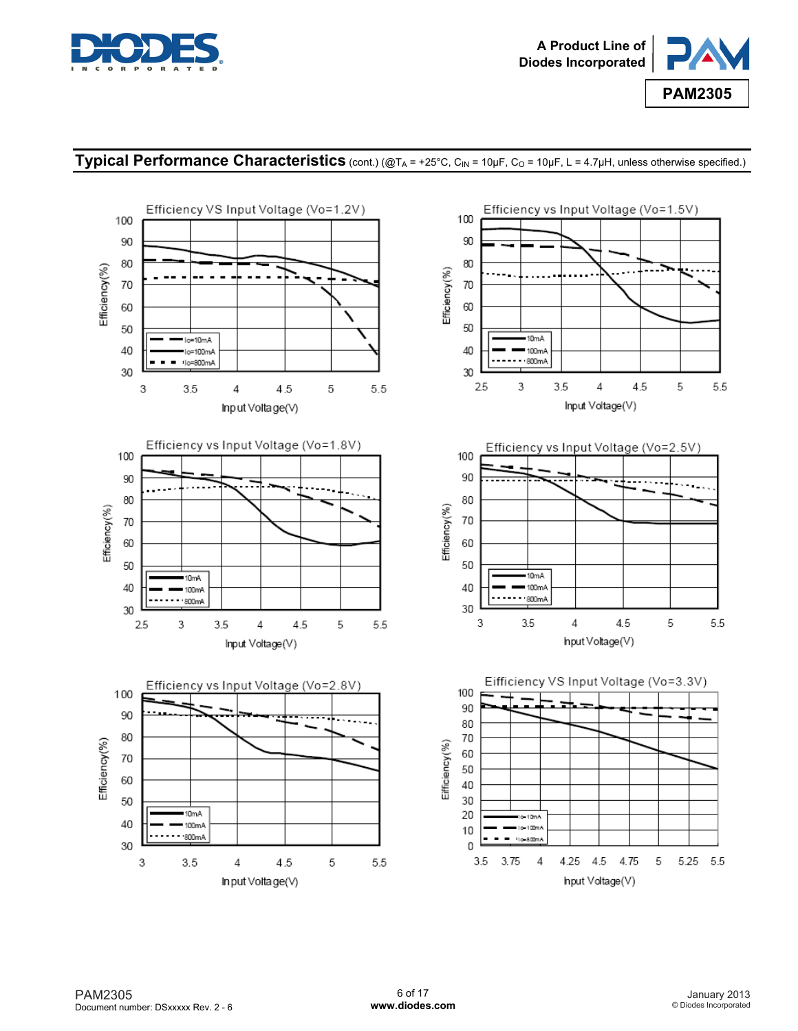



# **Typical Performance Characteristics** (cont.) (@TA = +25°C, C<sub>IN</sub> = 10µF, C<sub>O</sub> = 10µF, L = 4.7µH, unless otherwise specified.)





hput Voltage(V)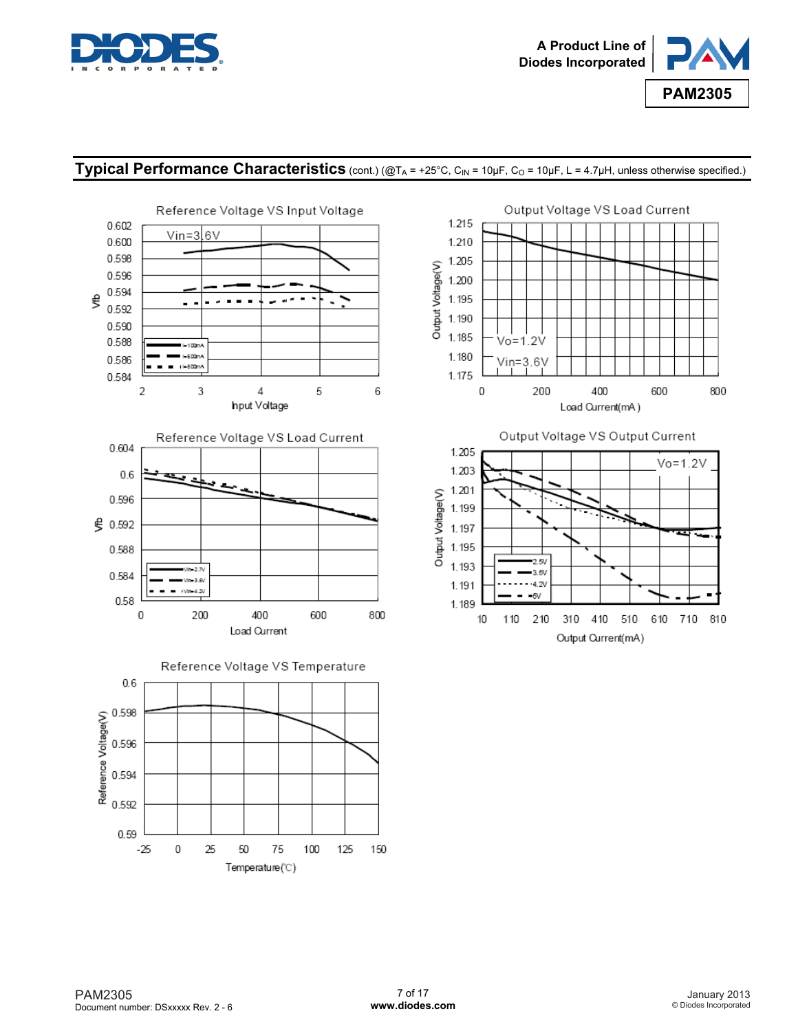



### **Typical Performance Characteristics** (cont.) (@TA = +25°C, CIN = 10µF, Co = 10µF, L = 4.7µH, unless otherwise specified.)





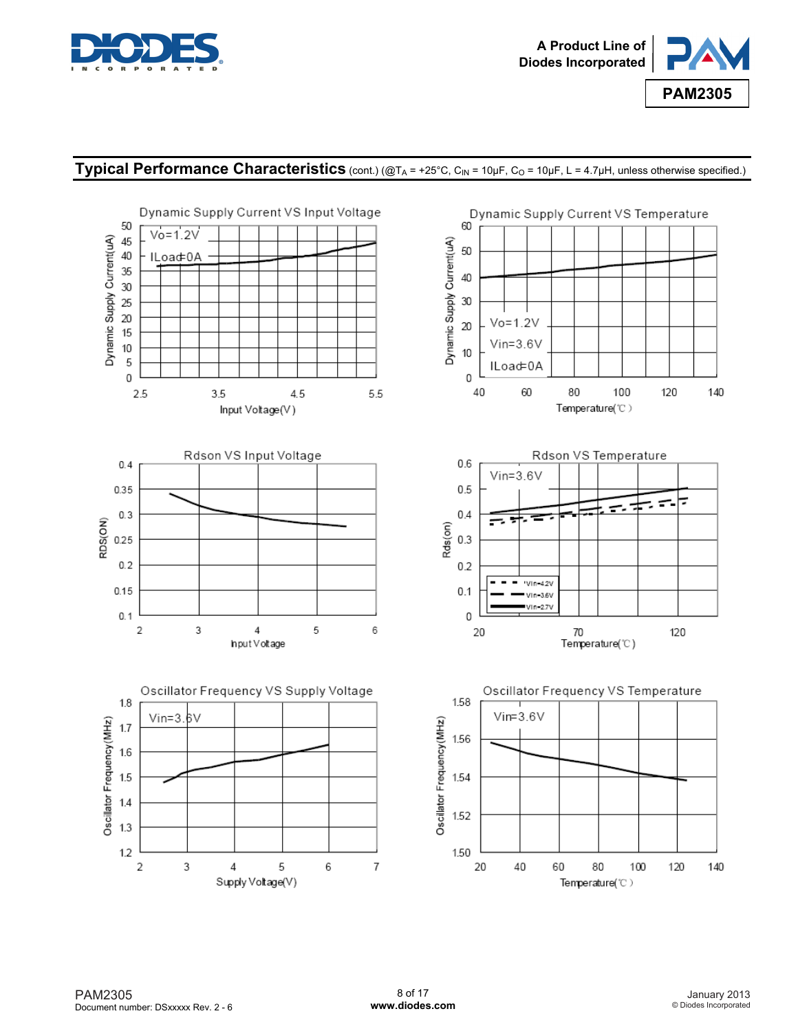



### **Typical Performance Characteristics** (cont.) (@TA = +25°C, CIN = 10µF, Co = 10µF, L = 4.7µH, unless otherwise specified.)

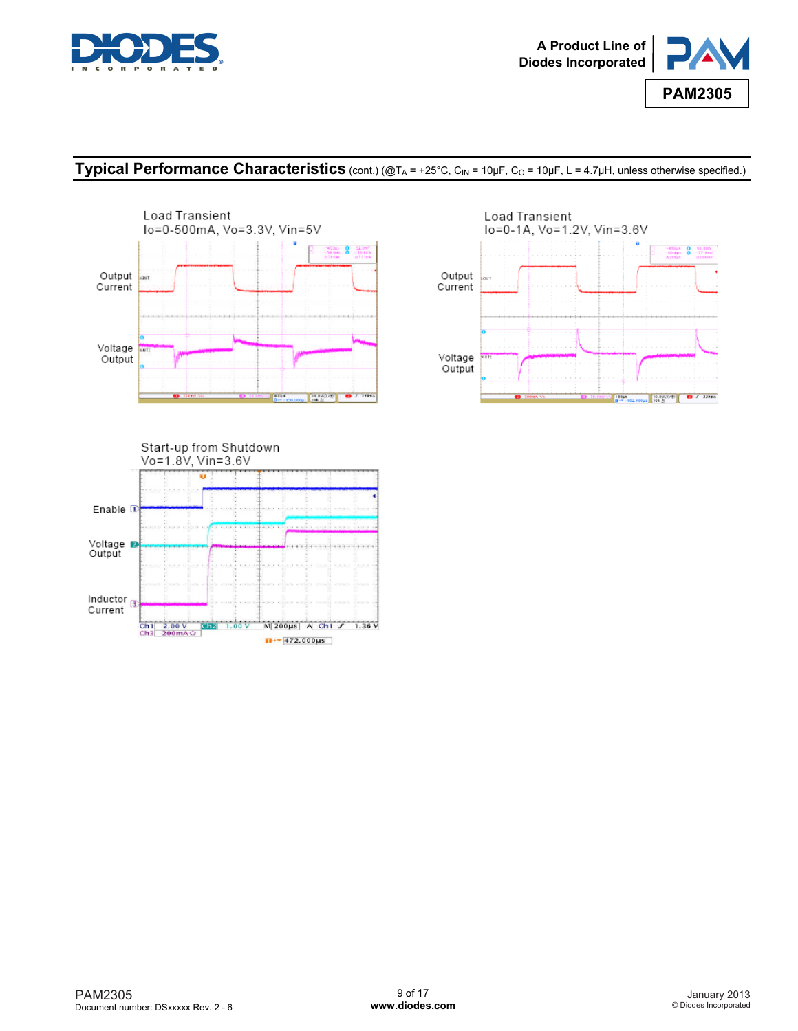



## **Typical Performance Characteristics** (cont.) (@TA = +25°C, CIN = 10µF, Co = 10µF, L = 4.7µH, unless otherwise specified.)





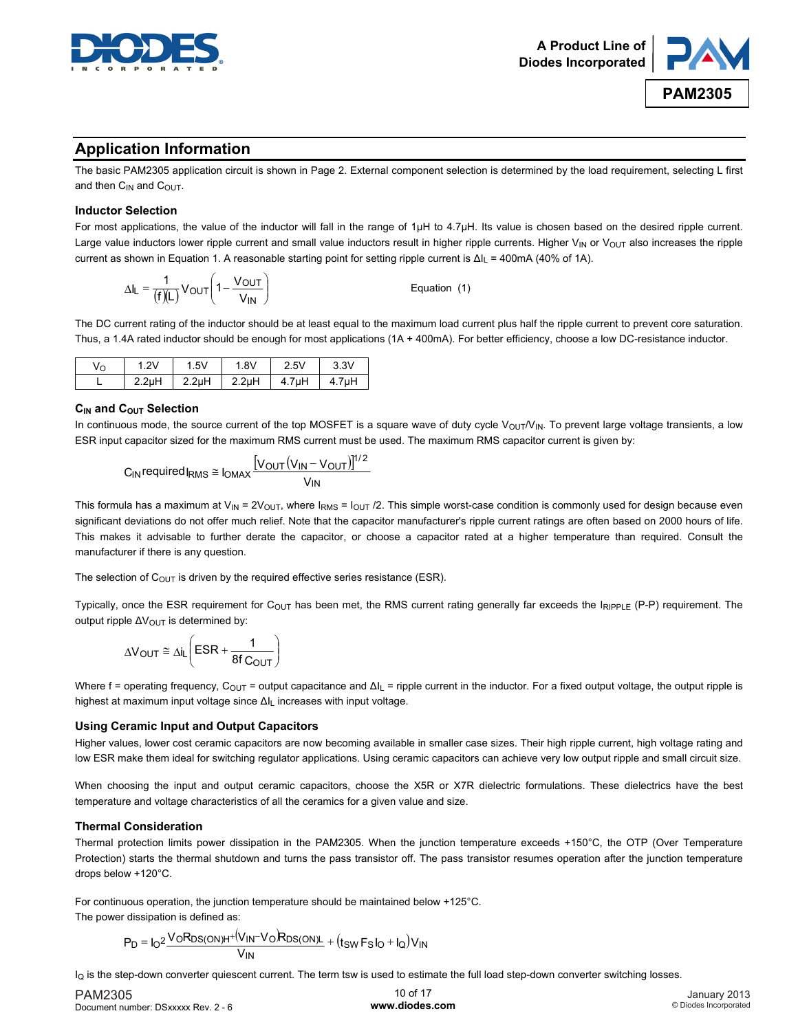



### **Application Information**

The basic PAM2305 application circuit is shown in Page 2. External component selection is determined by the load requirement, selecting L first and then  $C_{IN}$  and  $C_{OUT}$ .

#### **Inductor Selection**

For most applications, the value of the inductor will fall in the range of 1μH to 4.7μH. Its value is chosen based on the desired ripple current. Large value inductors lower ripple current and small value inductors result in higher ripple currents. Higher  $V_{IN}$  or  $V_{OUT}$  also increases the ripple current as shown in Equation 1. A reasonable starting point for setting ripple current is Δl<sub>L</sub> = 400mA (40% of 1A).

The DC current rating of the inductor should be at least equal to the maximum load current plus half the ripple current to prevent core saturation. Thus, a 1.4A rated inductor should be enough for most applications (1A + 400mA). For better efficiency, choose a low DC-resistance inductor.

| Vo | .2V                | . 5V               | 1.8V               | 2.5V               | 3.3V               |
|----|--------------------|--------------------|--------------------|--------------------|--------------------|
|    | 2.2 <sub>µ</sub> H | 2.2 <sub>µ</sub> H | 2.2 <sub>µ</sub> H | 4.7 <sub>µ</sub> H | 4.7 <sub>µ</sub> H |

#### $C<sub>IN</sub>$  and  $C<sub>OUT</sub>$  Selection

In continuous mode, the source current of the top MOSFET is a square wave of duty cycle  $V_{\text{OUT}}/V_{\text{IN}}$ . To prevent large voltage transients, a low ESR input capacitor sized for the maximum RMS current must be used. The maximum RMS capacitor current is given by:

$$
C_{IN}\text{required}\text{I}_{RMS} \cong \text{I}_{OMAX} \frac{[V_{OUT}(V_{IN}-V_{OUT})]^{1/2}}{V_{IN}}
$$

This formula has a maximum at  $V_{\text{IN}} = 2V_{\text{OUT}}$ , where  $I_{\text{RMS}} = I_{\text{OUT}}/2$ . This simple worst-case condition is commonly used for design because even significant deviations do not offer much relief. Note that the capacitor manufacturer's ripple current ratings are often based on 2000 hours of life. This makes it advisable to further derate the capacitor, or choose a capacitor rated at a higher temperature than required. Consult the manufacturer if there is any question.

The selection of  $C_{\text{OUT}}$  is driven by the required effective series resistance (ESR).

Typically, once the ESR requirement for C<sub>OUT</sub> has been met, the RMS current rating generally far exceeds the  $I_{RIPPLE}$  (P-P) requirement. The output ripple  $\Delta V_{\text{OUT}}$  is determined by:

$$
\Delta V_{\text{OUT}} \cong \Delta i_{\text{L}} \left( \text{ESR} + \frac{1}{8f \, \text{C}_{\text{OUT}}} \right)
$$

Where f = operating frequency, C<sub>OUT</sub> = output capacitance and  $\Delta I_L$  = ripple current in the inductor. For a fixed output voltage, the output ripple is highest at maximum input voltage since ΔIL increases with input voltage.

#### **Using Ceramic Input and Output Capacitors**

Higher values, lower cost ceramic capacitors are now becoming available in smaller case sizes. Their high ripple current, high voltage rating and low ESR make them ideal for switching regulator applications. Using ceramic capacitors can achieve very low output ripple and small circuit size.

When choosing the input and output ceramic capacitors, choose the X5R or X7R dielectric formulations. These dielectrics have the best temperature and voltage characteristics of all the ceramics for a given value and size.

#### **Thermal Consideration**

Thermal protection limits power dissipation in the PAM2305. When the junction temperature exceeds +150°C, the OTP (Over Temperature Protection) starts the thermal shutdown and turns the pass transistor off. The pass transistor resumes operation after the junction temperature drops below +120°C.

For continuous operation, the junction temperature should be maintained below +125°C. The power dissipation is defined as:

$$
P_D = I_0^2 \frac{V_0 R_{DS(ON)H^+}(V_{IN} - V_0 R_{DS(ON)L}}{V_{IN}} + (t_{SW} F_S I_0 + I_Q)V_{IN}
$$

I<sub>Q</sub> is the step-down converter quiescent current. The term tsw is used to estimate the full load step-down converter switching losses.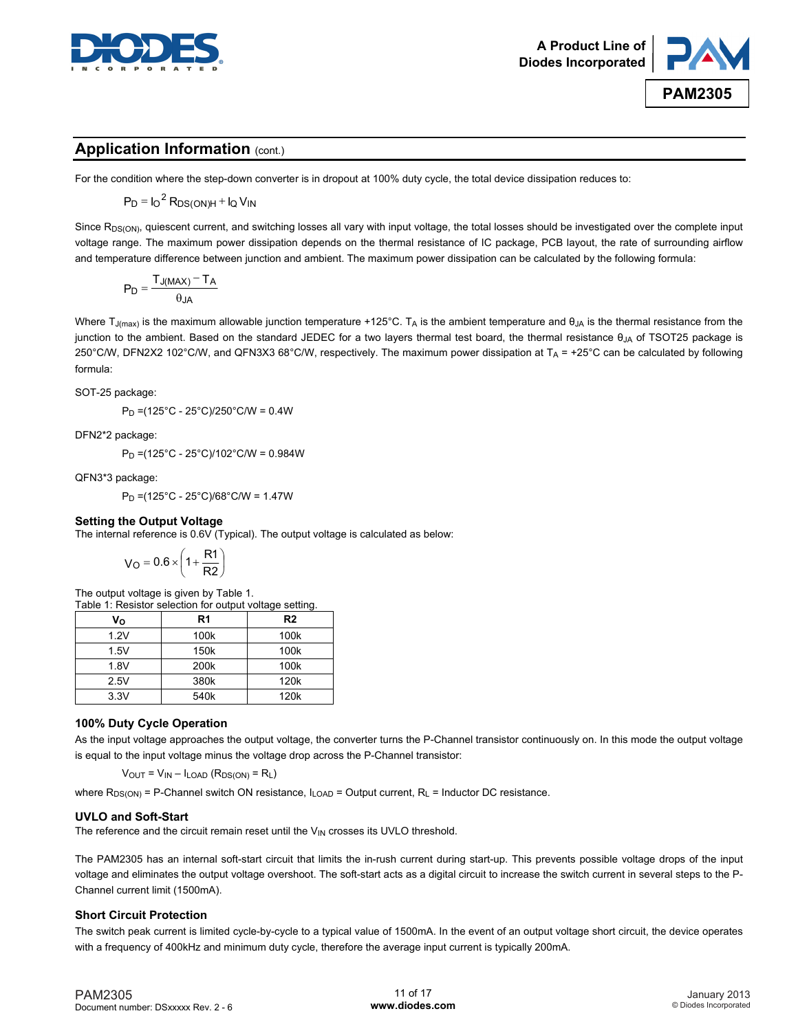



### **Application Information** (cont.)

For the condition where the step-down converter is in dropout at 100% duty cycle, the total device dissipation reduces to:

 $P_D = I_O^2 R_{DS(ON)H} + I_Q V_{IN}$ 

Since R<sub>DS(ON)</sub>, quiescent current, and switching losses all vary with input voltage, the total losses should be investigated over the complete input voltage range. The maximum power dissipation depends on the thermal resistance of IC package, PCB layout, the rate of surrounding airflow and temperature difference between junction and ambient. The maximum power dissipation can be calculated by the following formula:

$$
P_D = \frac{T_{J(MAX)} - T_A}{\theta_{JA}}
$$

Where T<sub>J(max)</sub> is the maximum allowable junction temperature +125°C. T<sub>A</sub> is the ambient temperature and  $\theta_{JA}$  is the thermal resistance from the junction to the ambient. Based on the standard JEDEC for a two layers thermal test board, the thermal resistance θ<sub>JA</sub> of TSOT25 package is 250°C/W, DFN2X2 102°C/W, and QFN3X3 68°C/W, respectively. The maximum power dissipation at TA = +25°C can be calculated by following formula:

SOT-25 package:

 $P_D = (125^{\circ}C - 25^{\circ}C)/250^{\circ}C/W = 0.4W$ 

DFN2\*2 package:

PD =(125°C - 25°C)/102°C/W = 0.984W

QFN3\*3 package:

PD =(125°C - 25°C)/68°C/W = 1.47W

#### **Setting the Output Voltage**

The internal reference is 0.6V (Typical). The output voltage is calculated as below:

$$
V_O = 0.6 \times \left(1 + \frac{R1}{R2}\right)
$$

The output voltage is given by Table 1. Table 1: Resistor selection for output voltage setting.

|      | rable i. Resistor selection for output voltage setting. |                  |
|------|---------------------------------------------------------|------------------|
| V٥   | R1                                                      | R2               |
| 1.2V | 100k                                                    | 100 <sub>k</sub> |
| 1.5V | 150 <sub>k</sub>                                        | 100 <sub>k</sub> |
| 1.8V | 200k                                                    | 100 <sub>k</sub> |
| 2.5V | 380k                                                    | 120 <sub>k</sub> |
| 3.3V | 540k                                                    | 120 <sub>k</sub> |

#### **100% Duty Cycle Operation**

As the input voltage approaches the output voltage, the converter turns the P-Channel transistor continuously on. In this mode the output voltage is equal to the input voltage minus the voltage drop across the P-Channel transistor:

 $V<sub>OUT</sub> = V<sub>IN</sub> - I<sub>LOAD</sub> (R<sub>DS(ON)</sub> = R<sub>L</sub>)$ 

where  $R_{DS(ON)}$  = P-Channel switch ON resistance,  $I_{LOAD}$  = Output current,  $R_L$  = Inductor DC resistance.

#### **UVLO and Soft-Start**

The reference and the circuit remain reset until the  $V_{IN}$  crosses its UVLO threshold.

The PAM2305 has an internal soft-start circuit that limits the in-rush current during start-up. This prevents possible voltage drops of the input voltage and eliminates the output voltage overshoot. The soft-start acts as a digital circuit to increase the switch current in several steps to the P-Channel current limit (1500mA).

#### **Short Circuit Protection**

The switch peak current is limited cycle-by-cycle to a typical value of 1500mA. In the event of an output voltage short circuit, the device operates with a frequency of 400kHz and minimum duty cycle, therefore the average input current is typically 200mA.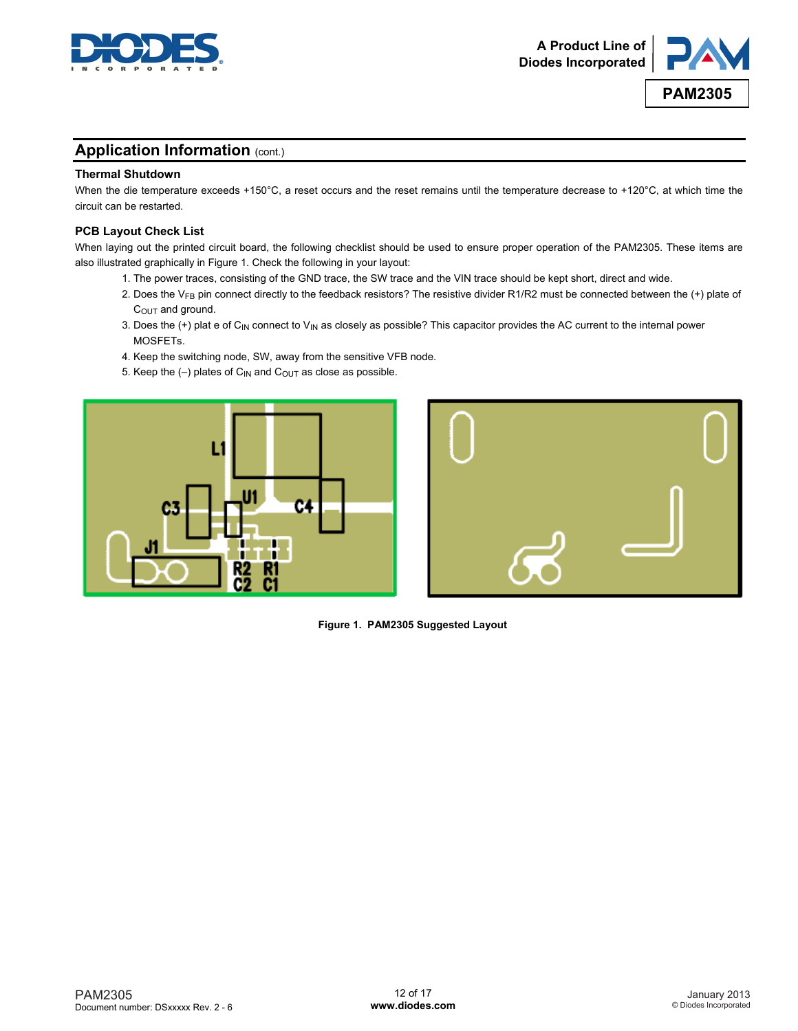



### **Application Information (cont.)**

#### **Thermal Shutdown**

When the die temperature exceeds +150°C, a reset occurs and the reset remains until the temperature decrease to +120°C, at which time the circuit can be restarted.

#### **PCB Layout Check List**

When laying out the printed circuit board, the following checklist should be used to ensure proper operation of the PAM2305. These items are also illustrated graphically in Figure 1. Check the following in your layout:

- 1. The power traces, consisting of the GND trace, the SW trace and the VIN trace should be kept short, direct and wide.
- 2. Does the VFB pin connect directly to the feedback resistors? The resistive divider R1/R2 must be connected between the (+) plate of C<sub>OUT</sub> and ground.
- 3. Does the (+) plat e of C<sub>IN</sub> connect to V<sub>IN</sub> as closely as possible? This capacitor provides the AC current to the internal power MOSFETs.
- 4. Keep the switching node, SW, away from the sensitive VFB node.
- 5. Keep the  $(-)$  plates of C<sub>IN</sub> and C<sub>OUT</sub> as close as possible.





**Figure 1. PAM2305 Suggested Layout**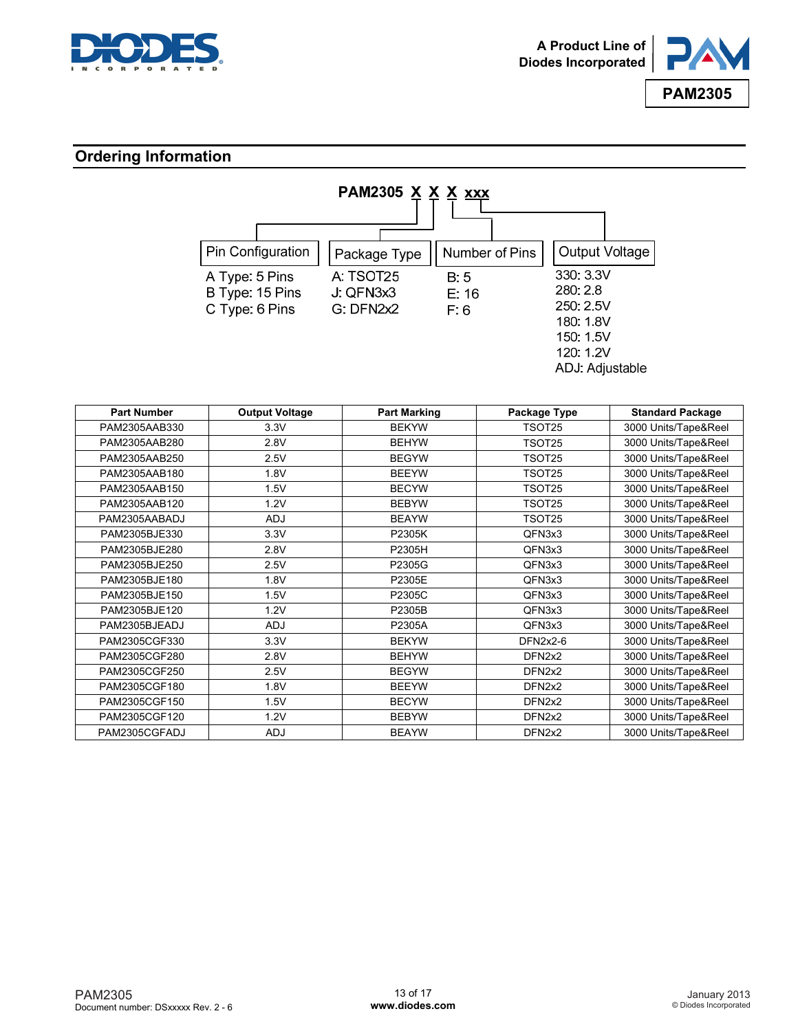



### **Ordering Information**



ADJ: Adjustable

| <b>Part Number</b> | <b>Output Voltage</b> | <b>Part Marking</b> | Package Type    | <b>Standard Package</b> |
|--------------------|-----------------------|---------------------|-----------------|-------------------------|
| PAM2305AAB330      | 3.3V                  | <b>BEKYW</b>        | TSOT25          | 3000 Units/Tape&Reel    |
| PAM2305AAB280      | 2.8V                  | <b>BEHYW</b>        | TSOT25          | 3000 Units/Tape&Reel    |
| PAM2305AAB250      | 2.5V                  | <b>BEGYW</b>        | TSOT25          | 3000 Units/Tape&Reel    |
| PAM2305AAB180      | 1.8V                  | <b>BEEYW</b>        | TSOT25          | 3000 Units/Tape&Reel    |
| PAM2305AAB150      | 1.5V                  | <b>BECYW</b>        | TSOT25          | 3000 Units/Tape&Reel    |
| PAM2305AAB120      | 1.2V                  | <b>BEBYW</b>        | TSOT25          | 3000 Units/Tape&Reel    |
| PAM2305AABADJ      | ADJ                   | <b>BEAYW</b>        | TSOT25          | 3000 Units/Tape&Reel    |
| PAM2305BJE330      | 3.3V                  | P2305K              | QFN3x3          | 3000 Units/Tape&Reel    |
| PAM2305BJE280      | 2.8V                  | P2305H              | QFN3x3          | 3000 Units/Tape&Reel    |
| PAM2305BJE250      | 2.5V                  | P2305G              | QFN3x3          | 3000 Units/Tape&Reel    |
| PAM2305BJE180      | 1.8V                  | P2305E              | QFN3x3          | 3000 Units/Tape&Reel    |
| PAM2305BJE150      | 1.5V                  | P2305C              | QFN3x3          | 3000 Units/Tape&Reel    |
| PAM2305BJE120      | 1.2V                  | P2305B              | QFN3x3          | 3000 Units/Tape&Reel    |
| PAM2305BJEADJ      | <b>ADJ</b>            | P2305A              | QFN3x3          | 3000 Units/Tape&Reel    |
| PAM2305CGF330      | 3.3V                  | <b>BEKYW</b>        | <b>DFN2x2-6</b> | 3000 Units/Tape&Reel    |
| PAM2305CGF280      | 2.8V                  | <b>BEHYW</b>        | DFN2x2          | 3000 Units/Tape&Reel    |
| PAM2305CGF250      | 2.5V                  | <b>BEGYW</b>        | DFN2x2          | 3000 Units/Tape&Reel    |
| PAM2305CGF180      | 1.8V                  | <b>BEEYW</b>        | DFN2x2          | 3000 Units/Tape&Reel    |
| PAM2305CGF150      | 1.5V                  | <b>BECYW</b>        | DFN2x2          | 3000 Units/Tape&Reel    |
| PAM2305CGF120      | 1.2V                  | <b>BEBYW</b>        | DFN2x2          | 3000 Units/Tape&Reel    |
| PAM2305CGFADJ      | <b>ADJ</b>            | <b>BEAYW</b>        | DFN2x2          | 3000 Units/Tape&Reel    |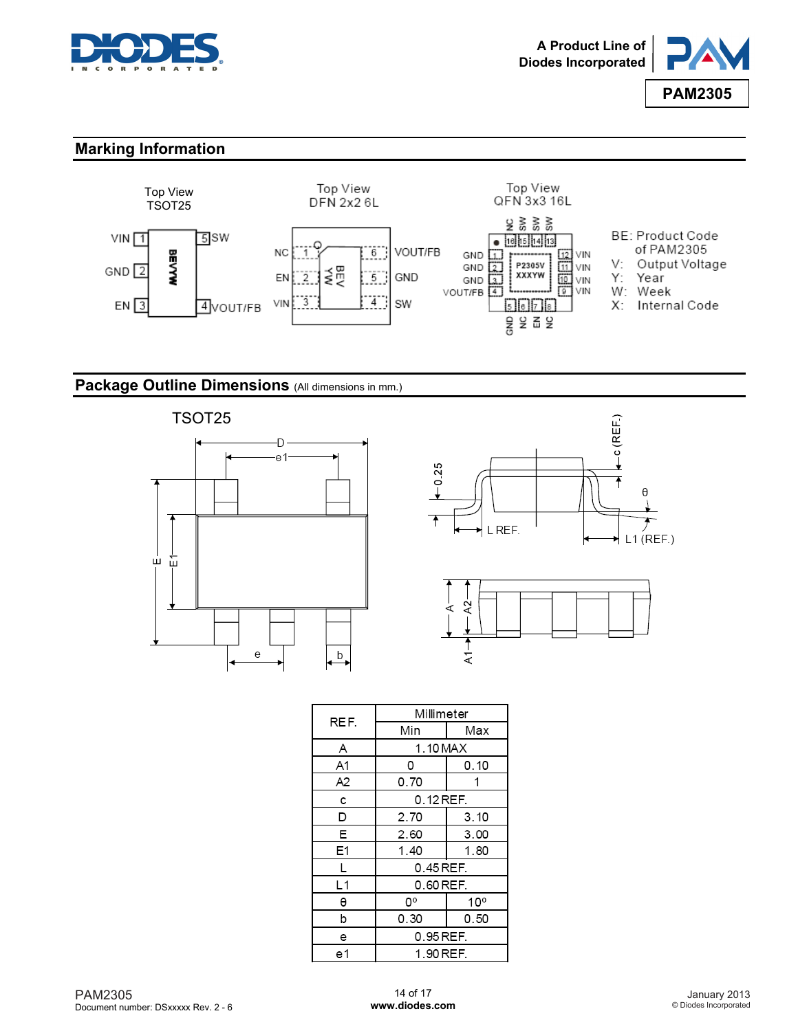



### **Marking Information**



### Package Outline Dimensions (All dimensions in mm.)







 $A1 -$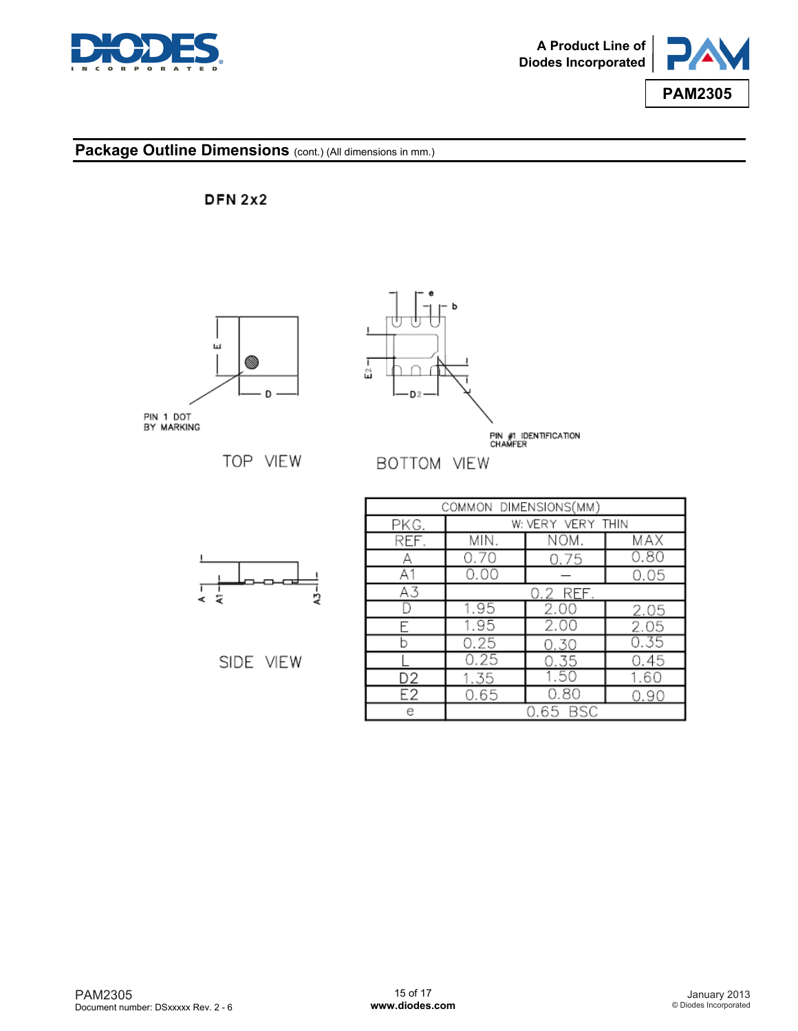



### Package Outline Dimensions (cont.) (All dimensions in mm.)

### **DFN 2x2**



PIN 1 DOT<br>BY MARKING

T ं द



 $E2 - 1$ D<sub>2</sub>

PIN #1 IDENTIFICATION<br>CHAMFER

SIDE VIEW

그<br>오

# BOTTOM VIEW

| COMMON DIMENSIONS(MM) |                    |      |      |  |  |  |
|-----------------------|--------------------|------|------|--|--|--|
| PKG.                  | W: VERY VERY THIN  |      |      |  |  |  |
| REF.                  | MIN.               | NOM. | MAX  |  |  |  |
|                       | 0.70               | 0.75 | 0.80 |  |  |  |
| A1                    | 0.00               |      | 0.05 |  |  |  |
| A3                    | 0.2 REF.           |      |      |  |  |  |
|                       | 1.95               | 2.00 | 2.05 |  |  |  |
|                       | 1.95               | 2.00 | 2.05 |  |  |  |
|                       | 0.25               | 0.30 | 0.35 |  |  |  |
|                       | 0.25               | 0.35 | 0.45 |  |  |  |
| D2                    | 1.35               | 1.50 | 1.60 |  |  |  |
| E <sub>2</sub>        | 0.65               | 0.80 | 0.90 |  |  |  |
| е                     | 0.65<br><b>BSC</b> |      |      |  |  |  |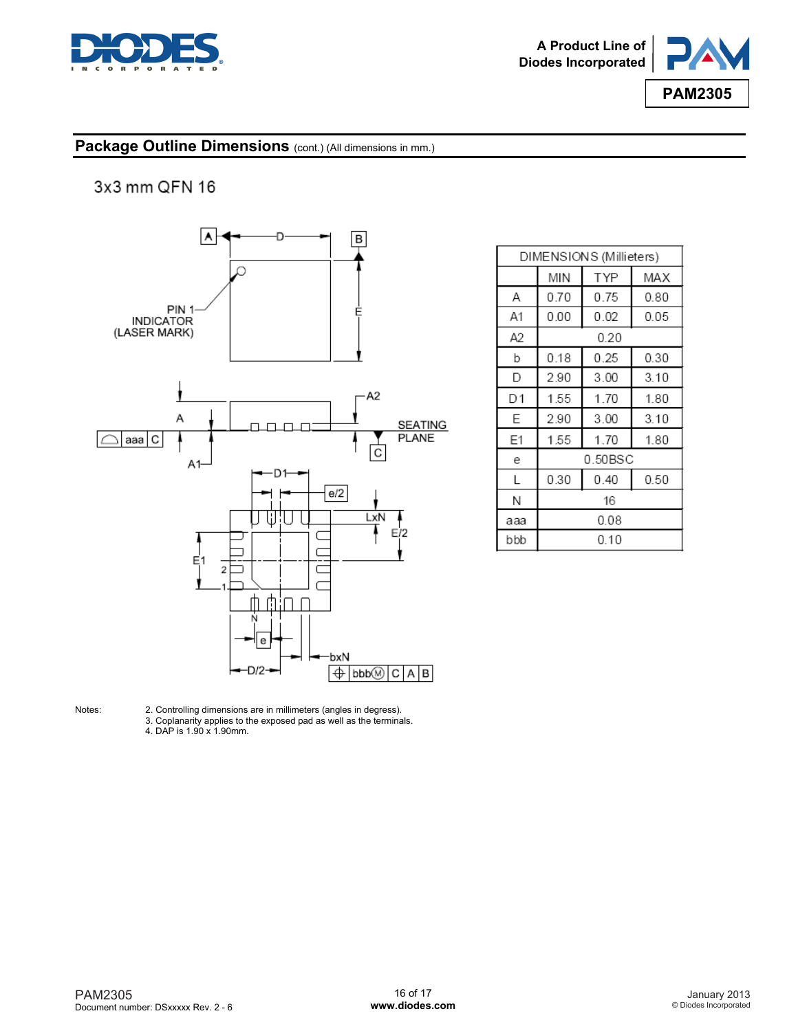



### Package Outline Dimensions (cont.) (All dimensions in mm.)

### 3x3 mm QFN 16



|     | DIMENSIONS (Millieters) |            |      |  |  |  |
|-----|-------------------------|------------|------|--|--|--|
|     | MIN                     | <b>TYP</b> | MAX  |  |  |  |
| Α   | 0.70                    | 0.75       | 0.80 |  |  |  |
| A1  | 0.00                    | 0.02       | 0.05 |  |  |  |
| Α2  |                         | 0.20       |      |  |  |  |
| b   | 0.18                    | 0.25       | 0.30 |  |  |  |
| D   | 2.90                    | 3.00       | 3.10 |  |  |  |
| D1  | 1.55                    | 1.70       | 1.80 |  |  |  |
| Е   | 2.90                    | 3.00       | 3.10 |  |  |  |
| Ε1  | 1.55                    | 1.70       | 1.80 |  |  |  |
| е   |                         | 0.50BSC    |      |  |  |  |
| L   | 0.30                    | 0.40       | 0.50 |  |  |  |
| N   | 16                      |            |      |  |  |  |
| ааа | 0.08                    |            |      |  |  |  |
| bbb | 0.10                    |            |      |  |  |  |

Notes: 2. Controlling dimensions are in millimeters (angles in degress). 3. Coplanarity applies to the exposed pad as well as the terminals. 4. DAP is 1.90 x 1.90mm.